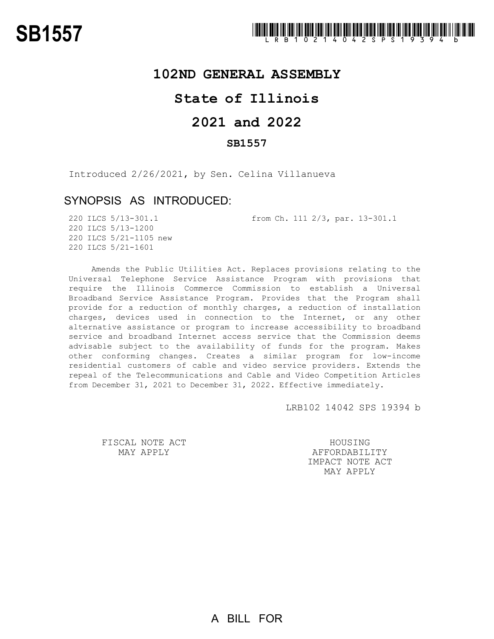## **102ND GENERAL ASSEMBLY**

# **State of Illinois**

# **2021 and 2022**

#### **SB1557**

Introduced 2/26/2021, by Sen. Celina Villanueva

### SYNOPSIS AS INTRODUCED:

220 ILCS 5/13-301.1 from Ch. 111 2/3, par. 13-301.1

220 ILCS 5/13-1200 220 ILCS 5/21-1105 new 220 ILCS 5/21-1601

Amends the Public Utilities Act. Replaces provisions relating to the Universal Telephone Service Assistance Program with provisions that require the Illinois Commerce Commission to establish a Universal Broadband Service Assistance Program. Provides that the Program shall provide for a reduction of monthly charges, a reduction of installation charges, devices used in connection to the Internet, or any other alternative assistance or program to increase accessibility to broadband service and broadband Internet access service that the Commission deems advisable subject to the availability of funds for the program. Makes other conforming changes. Creates a similar program for low-income residential customers of cable and video service providers. Extends the repeal of the Telecommunications and Cable and Video Competition Articles from December 31, 2021 to December 31, 2022. Effective immediately.

LRB102 14042 SPS 19394 b

FISCAL NOTE ACT MAY APPLY

HOUSING AFFORDABILITY IMPACT NOTE ACT MAY APPLY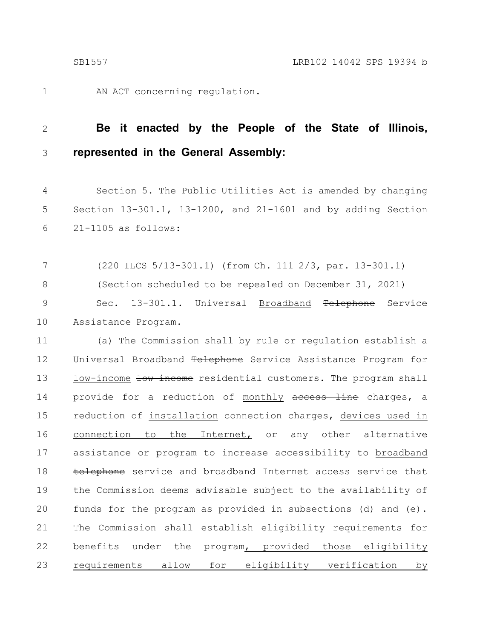1

AN ACT concerning regulation.

#### **Be it enacted by the People of the State of Illinois, represented in the General Assembly:** 2 3

Section 5. The Public Utilities Act is amended by changing Section 13-301.1, 13-1200, and 21-1601 and by adding Section 21-1105 as follows: 4 5 6

(220 ILCS 5/13-301.1) (from Ch. 111 2/3, par. 13-301.1) (Section scheduled to be repealed on December 31, 2021) Sec. 13-301.1. Universal Broadband <del>Telephone</del> Service Assistance Program. 7 8 9 10

(a) The Commission shall by rule or regulation establish a Universal Broadband Telephone Service Assistance Program for low-income low income residential customers. The program shall provide for a reduction of monthly access line charges, a reduction of installation connection charges, devices used in connection to the Internet, or any other alternative assistance or program to increase accessibility to broadband telephone service and broadband Internet access service that the Commission deems advisable subject to the availability of funds for the program as provided in subsections (d) and (e). The Commission shall establish eligibility requirements for benefits under the program, provided those eligibility requirements allow for eligibility verification by 11 12 13 14 15 16 17 18 19 20 21 22 23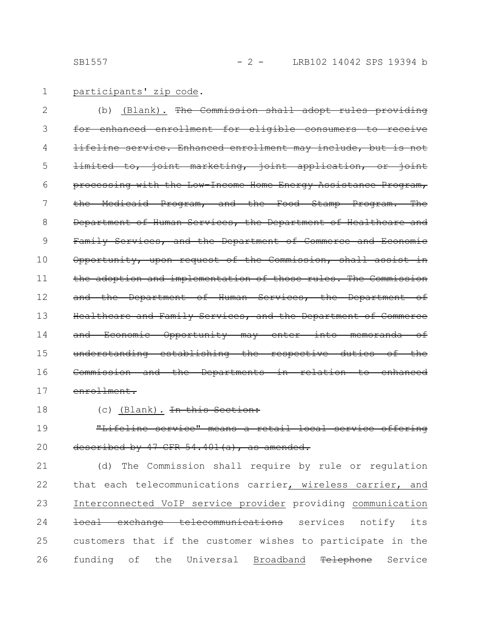#### participants' zip code. 1

(b) (Blank). The Commission shall adopt rules providing for enhanced enrollment for eligible consumers to receive lifeline service. Enhanced enrollment may include, but is limited to, joint marketing, joint application, or joint processing with the Low-Income Home Energy Assistance Program, the Medicaid Program, and the Food Stamp Program. The Department of Human Services, the Department of Healthcare and Family Services, and the Department of Commerce and Economic Opportunity, upon request of the Commission, shall assist in the adoption and implementation of those rules. The Commission and the Department of Human Services, the Department of Healthcare and Family Services, and the Department of Commerce and Economic Opportunity may enter into memoranda of understanding establishing the respective duties of the Commission and the Departments in relation to enhanced enrollment. 2 3 4 5 6 7 8 9 10 11 12 13 14 15 16 17

18

#### (c) (Blank). In this Section:

"Lifeline service" means a retail local service offering described by 47 CFR 54.401 (a), as amended. 19 20

(d) The Commission shall require by rule or regulation that each telecommunications carrier, wireless carrier, and Interconnected VoIP service provider providing communication local exchange telecommunications services notify its customers that if the customer wishes to participate in the funding of the Universal Broadband Telephone Service 21 22 23 24 25 26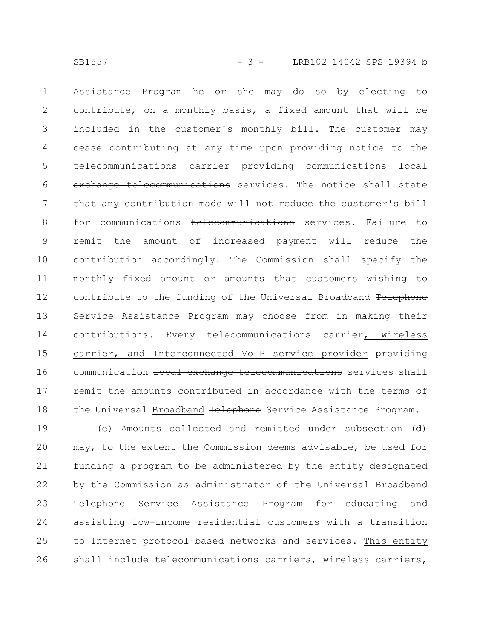SB1557 - 3 - LRB102 14042 SPS 19394 b

Assistance Program he or she may do so by electing to contribute, on a monthly basis, a fixed amount that will be included in the customer's monthly bill. The customer may cease contributing at any time upon providing notice to the telecommunications carrier providing communications local exchange telecommunications services. The notice shall state that any contribution made will not reduce the customer's bill for communications telecommunications services. Failure to remit the amount of increased payment will reduce the contribution accordingly. The Commission shall specify the monthly fixed amount or amounts that customers wishing to contribute to the funding of the Universal Broadband Telephone Service Assistance Program may choose from in making their contributions. Every telecommunications carrier, wireless carrier, and Interconnected VoIP service provider providing communication local exchange telecommunications services shall remit the amounts contributed in accordance with the terms of the Universal Broadband Telephone Service Assistance Program. 1 2 3 4 5 6 7 8 9 10 11 12 13 14 15 16 17 18

(e) Amounts collected and remitted under subsection (d) may, to the extent the Commission deems advisable, be used for funding a program to be administered by the entity designated by the Commission as administrator of the Universal Broadband Telephone Service Assistance Program for educating and assisting low-income residential customers with a transition to Internet protocol-based networks and services. This entity shall include telecommunications carriers, wireless carriers, 19 20 21 22 23 24 25 26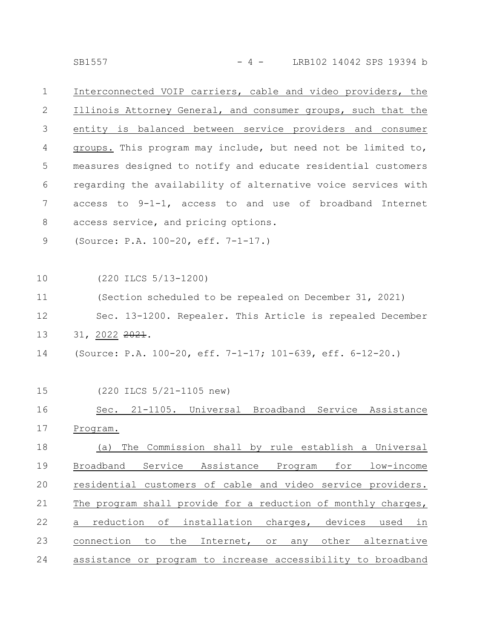SB1557 - 4 - LRB102 14042 SPS 19394 b

Interconnected VOIP carriers, cable and video providers, the Illinois Attorney General, and consumer groups, such that the entity is balanced between service providers and consumer groups. This program may include, but need not be limited to, measures designed to notify and educate residential customers regarding the availability of alternative voice services with access to 9-1-1, access to and use of broadband Internet access service, and pricing options. 1 2 3 4 5 6 7 8

(Source: P.A. 100-20, eff. 7-1-17.) 9

(220 ILCS 5/13-1200) 10

(Section scheduled to be repealed on December 31, 2021) Sec. 13-1200. Repealer. This Article is repealed December 31, 2022 2021. 11 12 13

- (Source: P.A. 100-20, eff. 7-1-17; 101-639, eff. 6-12-20.) 14
- (220 ILCS 5/21-1105 new) 15

Sec. 21-1105. Universal Broadband Service Assistance Program. (a) The Commission shall by rule establish a Universal Broadband Service Assistance Program for low-income residential customers of cable and video service providers. The program shall provide for a reduction of monthly charges, a reduction of installation charges, devices used in connection to the Internet, or any other alternative assistance or program to increase accessibility to broadband 16 17 18 19 20 21 22 23 24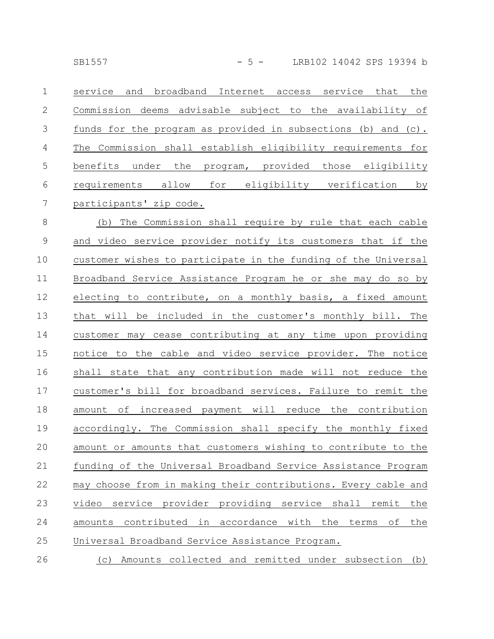| $\mathbf{1}$   | service and broadband Internet access service that the        |
|----------------|---------------------------------------------------------------|
| 2              | Commission deems advisable subject to the availability of     |
| $\mathcal{S}$  | funds for the program as provided in subsections (b) and (c). |
| $\overline{4}$ | The Commission shall establish eligibility requirements for   |
| 5              | benefits under the program, provided those eligibility        |
| 6              | requirements allow for eligibility verification<br>by         |
| 7              | participants' zip code.                                       |
| 8              | (b) The Commission shall require by rule that each cable      |

and video service provider notify its customers that if the customer wishes to participate in the funding of the Universal Broadband Service Assistance Program he or she may do so by electing to contribute, on a monthly basis, a fixed amount that will be included in the customer's monthly bill. The customer may cease contributing at any time upon providing notice to the cable and video service provider. The notice shall state that any contribution made will not reduce the customer's bill for broadband services. Failure to remit the amount of increased payment will reduce the contribution accordingly. The Commission shall specify the monthly fixed amount or amounts that customers wishing to contribute to the funding of the Universal Broadband Service Assistance Program may choose from in making their contributions. Every cable and video service provider providing service shall remit the amounts contributed in accordance with the terms of the Universal Broadband Service Assistance Program. 9 10 11 12 13 14 15 16 17 18 19 20 21 22 23 24 25

(c) Amounts collected and remitted under subsection (b) 26